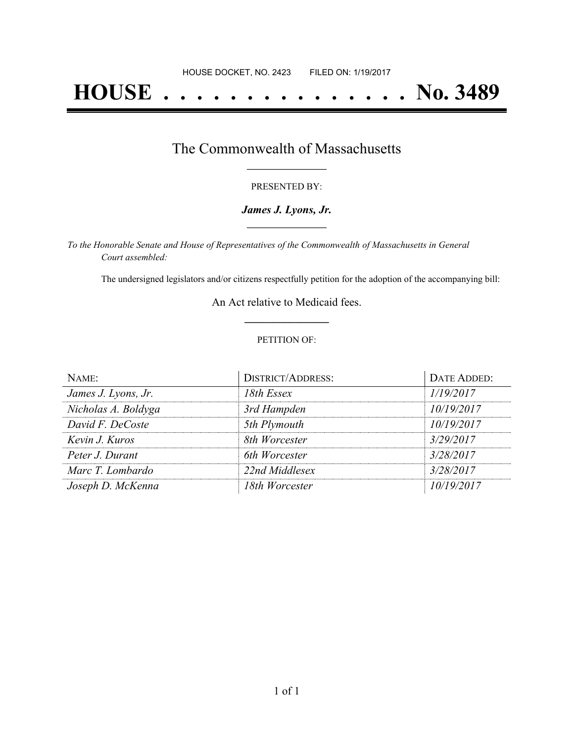# **HOUSE . . . . . . . . . . . . . . . No. 3489**

### The Commonwealth of Massachusetts **\_\_\_\_\_\_\_\_\_\_\_\_\_\_\_\_\_**

#### PRESENTED BY:

#### *James J. Lyons, Jr.* **\_\_\_\_\_\_\_\_\_\_\_\_\_\_\_\_\_**

*To the Honorable Senate and House of Representatives of the Commonwealth of Massachusetts in General Court assembled:*

The undersigned legislators and/or citizens respectfully petition for the adoption of the accompanying bill:

An Act relative to Medicaid fees. **\_\_\_\_\_\_\_\_\_\_\_\_\_\_\_**

#### PETITION OF:

| NAME:               | <b>DISTRICT/ADDRESS:</b> | <b>DATE ADDED:</b> |
|---------------------|--------------------------|--------------------|
| James J. Lyons, Jr. | 18th Essex               | 1/19/2017          |
| Nicholas A. Boldyga | 3rd Hampden              | 10/19/2017         |
| David F. DeCoste    | 5th Plymouth             | 10/19/2017         |
| Kevin J. Kuros      | 8th Worcester            | 3/29/2017          |
| Peter J. Durant     | 6th Worcester            | 3/28/2017          |
| Marc T. Lombardo    | 22nd Middlesex           | 3/28/2017          |
| Joseph D. McKenna   | 18th Worcester           | 10/19/2017         |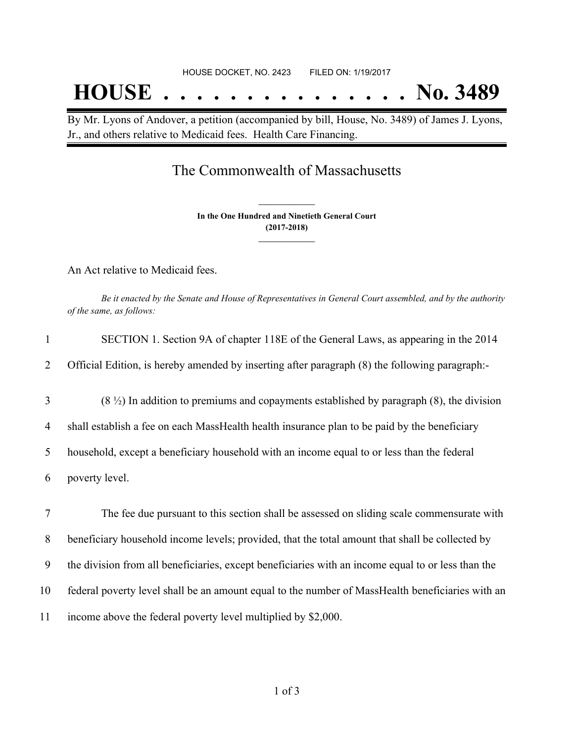# **HOUSE . . . . . . . . . . . . . . . No. 3489**

By Mr. Lyons of Andover, a petition (accompanied by bill, House, No. 3489) of James J. Lyons, Jr., and others relative to Medicaid fees. Health Care Financing.

### The Commonwealth of Massachusetts

**In the One Hundred and Ninetieth General Court (2017-2018) \_\_\_\_\_\_\_\_\_\_\_\_\_\_\_**

**\_\_\_\_\_\_\_\_\_\_\_\_\_\_\_**

An Act relative to Medicaid fees.

Be it enacted by the Senate and House of Representatives in General Court assembled, and by the authority *of the same, as follows:*

| $\mathbf{1}$   | SECTION 1. Section 9A of chapter 118E of the General Laws, as appearing in the 2014                 |
|----------------|-----------------------------------------------------------------------------------------------------|
| 2              | Official Edition, is hereby amended by inserting after paragraph (8) the following paragraph:-      |
| 3              | $(8 \frac{1}{2})$ In addition to premiums and copayments established by paragraph (8), the division |
| $\overline{4}$ | shall establish a fee on each MassHealth health insurance plan to be paid by the beneficiary        |
| 5              | household, except a beneficiary household with an income equal to or less than the federal          |
| 6              | poverty level.                                                                                      |
| 7              | The fee due pursuant to this section shall be assessed on sliding scale commensurate with           |
| 8              | beneficiary household income levels; provided, that the total amount that shall be collected by     |
| 9              | the division from all beneficiaries, except beneficiaries with an income equal to or less than the  |
| 10             | federal poverty level shall be an amount equal to the number of MassHealth beneficiaries with an    |
| 11             | income above the federal poverty level multiplied by \$2,000.                                       |
|                |                                                                                                     |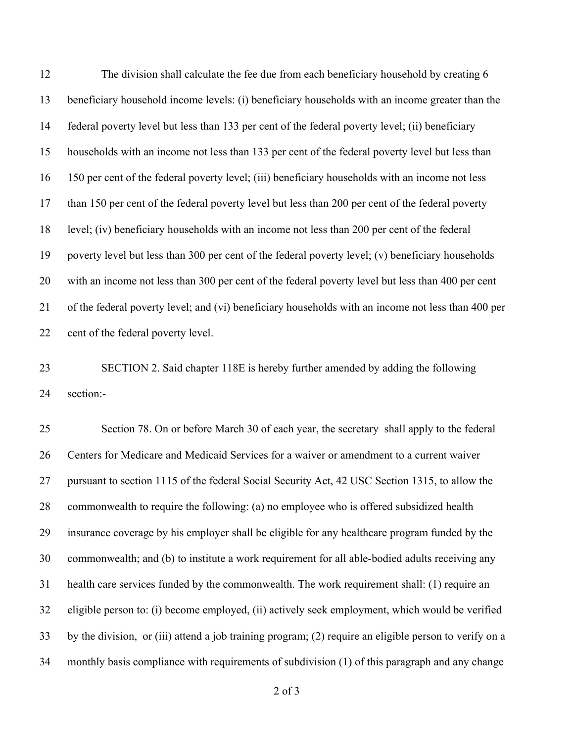The division shall calculate the fee due from each beneficiary household by creating 6 beneficiary household income levels: (i) beneficiary households with an income greater than the federal poverty level but less than 133 per cent of the federal poverty level; (ii) beneficiary households with an income not less than 133 per cent of the federal poverty level but less than 150 per cent of the federal poverty level; (iii) beneficiary households with an income not less than 150 per cent of the federal poverty level but less than 200 per cent of the federal poverty level; (iv) beneficiary households with an income not less than 200 per cent of the federal poverty level but less than 300 per cent of the federal poverty level; (v) beneficiary households with an income not less than 300 per cent of the federal poverty level but less than 400 per cent of the federal poverty level; and (vi) beneficiary households with an income not less than 400 per 22 cent of the federal poverty level.

 SECTION 2. Said chapter 118E is hereby further amended by adding the following section:-

 Section 78. On or before March 30 of each year, the secretary shall apply to the federal Centers for Medicare and Medicaid Services for a waiver or amendment to a current waiver pursuant to section 1115 of the federal Social Security Act, 42 USC Section 1315, to allow the commonwealth to require the following: (a) no employee who is offered subsidized health insurance coverage by his employer shall be eligible for any healthcare program funded by the commonwealth; and (b) to institute a work requirement for all able-bodied adults receiving any health care services funded by the commonwealth. The work requirement shall: (1) require an eligible person to: (i) become employed, (ii) actively seek employment, which would be verified by the division, or (iii) attend a job training program; (2) require an eligible person to verify on a monthly basis compliance with requirements of subdivision (1) of this paragraph and any change

of 3